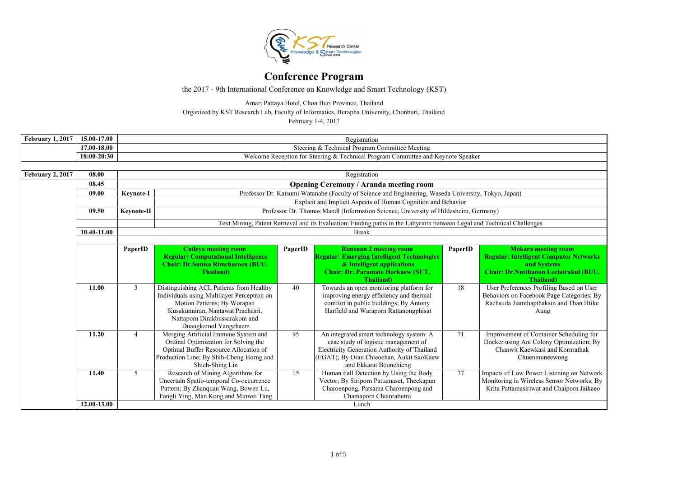

## **Conference Program**

the 2017 - 9th International Conference on Knowledge and Smart Technology (KST)

Amari Pattaya Hotel, Chon Buri Province, Thailand

Organized by KST Research Lab, Faculty of Informatics, Burapha University, Chonburi, Thailand

February 1-4, 2017

| ote Speaker       |                                                                                                                                                                                                                                                                                                     |
|-------------------|-----------------------------------------------------------------------------------------------------------------------------------------------------------------------------------------------------------------------------------------------------------------------------------------------------|
|                   |                                                                                                                                                                                                                                                                                                     |
|                   |                                                                                                                                                                                                                                                                                                     |
|                   |                                                                                                                                                                                                                                                                                                     |
|                   | a University, Tokyo, Japan)                                                                                                                                                                                                                                                                         |
| havior            |                                                                                                                                                                                                                                                                                                     |
| lesheim, Germany) |                                                                                                                                                                                                                                                                                                     |
|                   | en Legal and Technical Challenges                                                                                                                                                                                                                                                                   |
|                   |                                                                                                                                                                                                                                                                                                     |
|                   |                                                                                                                                                                                                                                                                                                     |
| PaperID<br>18     | <b>Mokara meeting room</b><br><b>Regular: Intelligent Computer Networks</b><br>and Systems<br><b>Chair: Dr.Nutthanon Leelatrakul (BUU,</b><br><b>Thailand</b> )<br>User Preferences Profiling Based on User<br>Behaviors on Facebook Page Categories; By<br>Rachsuda Jiamthapthaksin and Than Htike |
|                   | Aung                                                                                                                                                                                                                                                                                                |
| 71                | Improvement of Container Scheduling for<br>Docker using Ant Colony Optimization; By<br>Chanwit Kaewkasi and Kornrathak<br>Chuenmuneewong                                                                                                                                                            |
| 77                | Impacts of Low Power Listening on Network<br>Monitoring in Wireless Sensor Networks; By<br>Krita Pattamasiriwat and Chaiporn Jaikaeo                                                                                                                                                                |

| <b>February 1, 2017</b> | 15.00-17.00          |                   | Registration                                                                                                                                                                                                        |         |                                                                                                                                                                                                        |         |                                                                                    |  |  |
|-------------------------|----------------------|-------------------|---------------------------------------------------------------------------------------------------------------------------------------------------------------------------------------------------------------------|---------|--------------------------------------------------------------------------------------------------------------------------------------------------------------------------------------------------------|---------|------------------------------------------------------------------------------------|--|--|
|                         | 17.00-18.00          |                   | Steering & Technical Program Committee Meeting                                                                                                                                                                      |         |                                                                                                                                                                                                        |         |                                                                                    |  |  |
|                         | 18:00-20:30          |                   | Welcome Reception for Steering & Technical Program Committee and Keynote Speaker                                                                                                                                    |         |                                                                                                                                                                                                        |         |                                                                                    |  |  |
|                         |                      |                   |                                                                                                                                                                                                                     |         |                                                                                                                                                                                                        |         |                                                                                    |  |  |
| <b>February 2, 2017</b> | 08.00                |                   | Registration                                                                                                                                                                                                        |         |                                                                                                                                                                                                        |         |                                                                                    |  |  |
|                         | 08.45                |                   |                                                                                                                                                                                                                     |         | <b>Opening Ceremony / Aranda meeting room</b>                                                                                                                                                          |         |                                                                                    |  |  |
|                         | 09.00                | <b>Keynote-I</b>  |                                                                                                                                                                                                                     |         | Professor Dr. Katsumi Watanabe (Faculty of Science and Engineering, Waseda University, Tokyo, Japan)                                                                                                   |         |                                                                                    |  |  |
|                         |                      |                   |                                                                                                                                                                                                                     |         | Explicit and Implicit Aspects of Human Cognition and Behavior                                                                                                                                          |         |                                                                                    |  |  |
|                         | 09.50                | <b>Keynote-II</b> |                                                                                                                                                                                                                     |         | Professor Dr. Thomas Mandl (Information Science, University of Hildesheim, Germany)                                                                                                                    |         |                                                                                    |  |  |
|                         |                      |                   |                                                                                                                                                                                                                     |         | Text Mining, Patent Retrieval and its Evaluation: Finding paths in the Labyrinth between Legal and Technical Challenges                                                                                |         |                                                                                    |  |  |
|                         | 10.40-11.00          |                   |                                                                                                                                                                                                                     |         | <b>Break</b>                                                                                                                                                                                           |         |                                                                                    |  |  |
|                         |                      |                   |                                                                                                                                                                                                                     |         |                                                                                                                                                                                                        |         |                                                                                    |  |  |
|                         |                      | PaperID           | <b>Catleya meeting room</b>                                                                                                                                                                                         | PaperID | <b>Rimsuan 2 meeting room</b>                                                                                                                                                                          | PaperID | <b>Mokara</b> me                                                                   |  |  |
|                         |                      |                   | <b>Regular: Computational Intelligence</b><br><b>Chair: Dr.Sunisa Rimcharoen (BUU,</b><br><b>Thailand</b> )                                                                                                         |         | <b>Regular: Emerging Intelligent Technologies</b><br>& Intelligent applications<br><b>Chair: Dr. Paramate Horkaew (SUT,</b><br><b>Thailand</b> )                                                       |         | <b>Regular: Intelligent</b><br>and Sy<br><b>Chair: Dr.Nutthanol</b><br>Thai        |  |  |
|                         | 11.00                | $\overline{3}$    | Distinguishing ACL Patients from Healthy<br>Individuals using Multilayer Perceptron on<br>Motion Patterns; By Worapan<br>Kusakunniran, Nantawat Prachasri,<br>Nattaporn Dirakbussarakom and<br>Duangkamol Yangchaem | 40      | Towards an open monitoring platform for<br>improving energy efficiency and thermal<br>comfort in public buildings; By Antony<br>Harfield and Waraporn Rattanongphisat                                  | 18      | <b>User Preferences Pro</b><br>Behaviors on Facebool<br>Rachsuda Jiamthaptha<br>Au |  |  |
|                         | 11.20                | $\overline{4}$    | Merging Artificial Immune System and<br>Ordinal Optimization for Solving the<br>Optimal Buffer Resource Allocation of<br>Production Line; By Shih-Cheng Horng and<br>Shieh-Shing Lin                                | 95      | An integrated smart technology system: A<br>case study of logistic management of<br>Electricity Generation Authority of Thailand<br>(EGAT); By Oran Chieochan, Aukit SaoKaew<br>and Ekkarat Boonchieng | 71      | Improvement of Cont<br>Docker using Ant Col<br>Chanwit Kaewkas<br>Chuenmu          |  |  |
|                         | 11.40<br>12.00-13.00 | $5\overline{)}$   | Research of Mining Algorithms for<br>Uncertain Spatio-temporal Co-occurrence<br>Pattern; By Zhanquan Wang, Bowen Lu,<br>Fangli Ying, Man Kong and Minwei Tang                                                       | 15      | Human Fall Detection by Using the Body<br>Vector; By Siriporn Pattamaset, Theekapun<br>Charoenpong, Patsama Charoenpong and<br>Chamaporn Chianrabutra<br>Lunch                                         | 77      | Impacts of Low Power<br>Monitoring in Wireless<br>Krita Pattamasiriwat             |  |  |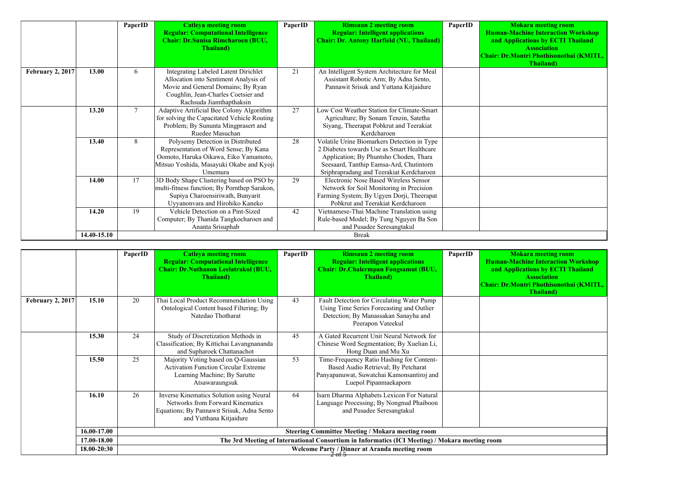|                         |             | PaperID        | <b>Catleya meeting room</b><br><b>Regular: Computational Intelligence</b><br><b>Chair: Dr.Sunisa Rimcharoen (BUU,</b><br><b>Thailand</b> )                                                    | PaperID | <b>Rimsaun 2 meeting room</b><br><b>Regular: Intelligent applications</b><br><b>Chair: Dr. Antony Harfield (NU, Thailand)</b>                                                                                              | PaperID | Human-N<br>and Ap<br><b>Chair: Dr.</b> |
|-------------------------|-------------|----------------|-----------------------------------------------------------------------------------------------------------------------------------------------------------------------------------------------|---------|----------------------------------------------------------------------------------------------------------------------------------------------------------------------------------------------------------------------------|---------|----------------------------------------|
|                         |             |                |                                                                                                                                                                                               |         |                                                                                                                                                                                                                            |         |                                        |
| <b>February 2, 2017</b> | 13.00       | 6              | <b>Integrating Labeled Latent Dirichlet</b><br>Allocation into Sentiment Analysis of<br>Movie and General Domains; By Ryan<br>Coughlin, Jean-Charles Coetsier and<br>Rachsuda Jiamthapthaksin | 21      | An Intelligent System Architecture for Meal<br>Assistant Robotic Arm; By Adna Sento,<br>Pannawit Srisuk and Yuttana Kitjaidure                                                                                             |         |                                        |
|                         | 13.20       | $\overline{7}$ | Adaptive Artificial Bee Colony Algorithm<br>for solving the Capacitated Vehicle Routing<br>Problem; By Sununta Mingprasert and<br>Ruedee Masuchan                                             | 27      | Low Cost Weather Station for Climate-Smart<br>Agriculture; By Sonam Tenzin, Satetha<br>Siyang, Theerapat Pobkrut and Teerakiat<br>Kerdcharoen                                                                              |         |                                        |
|                         | 13.40       | 8              | Polysemy Detection in Distributed<br>Representation of Word Sense; By Kana<br>Oomoto, Haruka Oikawa, Eiko Yamamoto,<br>Mitsuo Yoshida, Masayuki Okabe and Kyoji<br>Umemura                    | 28      | Volatile Urine Biomarkers Detection in Type<br>2 Diabetes towards Use as Smart Healthcare<br>Application; By Phuntsho Choden, Thara<br>Seesaard, Tanthip Eamsa-Ard, Chutintorn<br>Sriphrapradang and Teerakiat Kerdcharoen |         |                                        |
|                         | 14.00       | 17             | 3D Body Shape Clustering based on PSO by<br>multi-fitness function; By Pornthep Sarakon,<br>Supiya Charoensiriwath, Bunyarit<br>Uyyanonvara and Hirohiko Kaneko                               | 29      | <b>Electronic Nose Based Wireless Sensor</b><br>Network for Soil Monitoring in Precision<br>Farming System; By Ugyen Dorji, Theerapat<br>Pobkrut and Teerakiat Kerdcharoen                                                 |         |                                        |
|                         | 14.20       | 19             | Vehicle Detection on a Pint-Sized<br>Computer; By Thanida Tangkocharoen and<br>Ananta Srisuphab                                                                                               | 42      | Vietnamese-Thai Machine Translation using<br>Rule-based Model; By Tung Nguyen Ba Son<br>and Pusadee Seresangtakul                                                                                                          |         |                                        |
|                         | 14.40-15.10 |                |                                                                                                                                                                                               |         | <b>Break</b>                                                                                                                                                                                                               |         |                                        |

| PaperID | <b>Mokara meeting room</b><br><b>Human-Machine Interaction Workshop</b><br>and Applications by ECTI Thailand<br><b>Association</b><br>Chair: Dr.Montri Phothisonothai (KMITL,<br>Thailand) |
|---------|--------------------------------------------------------------------------------------------------------------------------------------------------------------------------------------------|
|         |                                                                                                                                                                                            |
|         |                                                                                                                                                                                            |
|         |                                                                                                                                                                                            |
|         |                                                                                                                                                                                            |
| PaperID | <b>Mokara meeting room</b>                                                                                                                                                                 |
|         | <b>Human-Machine Interaction Workshop</b><br>and Applications by ECTI Thailand<br><b>Association</b><br>Chair: Dr.Montri Phothisonothai (KMITL,<br>Thailand)                               |
|         |                                                                                                                                                                                            |
|         |                                                                                                                                                                                            |
|         |                                                                                                                                                                                            |
|         |                                                                                                                                                                                            |

|                         |             | PaperID | <b>Catleya meeting room</b><br><b>Regular: Computational Intelligence</b><br><b>Chair: Dr.Nuthanon Leelatrakul (BUU,</b><br>Thailand)                       | PaperID | <b>Rimsaun 2 meeting room</b><br><b>Regular: Intelligent applications</b><br><b>Chair: Dr.Chalermpan Fongsamut (BUU,</b><br><b>Thailand</b> )          | PaperID | <b>Human-N</b><br>and Ap<br><b>Chair: Dr.</b> I |
|-------------------------|-------------|---------|-------------------------------------------------------------------------------------------------------------------------------------------------------------|---------|--------------------------------------------------------------------------------------------------------------------------------------------------------|---------|-------------------------------------------------|
| <b>February 2, 2017</b> | 15.10       | 20      | Thai Local Product Recommendation Using<br>Ontological Content based Filtering; By<br>Natedao Thotharat                                                     | 43      | Fault Detection for Circulating Water Pump<br>Using Time Series Forecasting and Outlier<br>Detection; By Manassakan Sanayha and<br>Peerapon Vateekul   |         |                                                 |
|                         | 15.30       | 24      | Study of Discretization Methods in<br>Classification; By Kittichai Lavangnananda<br>and Supharoek Chattanachot                                              | 45      | A Gated Recurrent Unit Neural Network for<br>Chinese Word Segmentation; By Xuelian Li,<br>Hong Duan and Mu Xu                                          |         |                                                 |
|                         | 15.50       | 25      | Majority Voting based on Q-Gaussian<br><b>Activation Function Circular Extreme</b><br>Learning Machine; By Sarutte<br>Atsawaraungsuk                        | 53      | Time-Frequency Ratio Hashing for Content-<br>Based Audio Retrieval; By Petcharat<br>Panyapanuwat, Suwatchai Kamonsantiroj and<br>Luepol Pipanmaekaporn |         |                                                 |
|                         | 16.10       | 26      | Inverse Kinematics Solution using Neural<br><b>Networks from Forward Kinematics</b><br>Equations; By Pannawit Srisuk, Adna Sento<br>and Yutthana Kitjaidure | 64      | Isarn Dharma Alphabets Lexicon For Natural<br>Language Processing; By Nongnud Phaiboon<br>and Pusadee Seresangtakul                                    |         |                                                 |
|                         | 16.00-17.00 |         |                                                                                                                                                             |         | <b>Steering Committee Meeting / Mokara meeting room</b>                                                                                                |         |                                                 |
|                         | 17.00-18.00 |         |                                                                                                                                                             |         | The 3rd Meeting of International Consortium in Informatics (ICI Meeting) / Mokara meeting room                                                         |         |                                                 |
|                         | 18.00-20:30 |         |                                                                                                                                                             |         | Welcome Party / Dinner at Aranda meeting room<br>2 of 5                                                                                                |         |                                                 |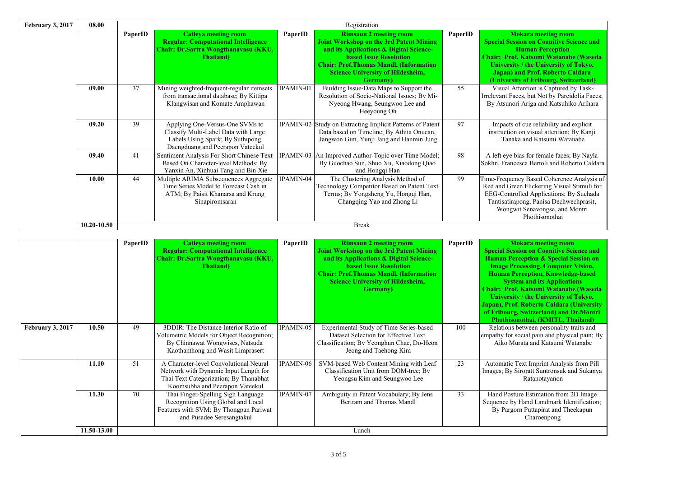**PaperID Mokara meeting room Samua Conservison Session on Cognitive Science and Human Perception Chair: Prof. Katsumi Watanabe (Waseda University / the University of Tokyo, Jand Prof. Roberto Caldara** 

**(Existle)** ity of Fribourg, Switzerland) Attention is Captured by Task-If aces, but Not by Pareidolia Faces; ori Ariga and Katsuhiko Arihara

1995 is of cue reliability and explicit on on visual attention; By Kanji aka and Katsumi Watanabe

bias for female faces; By Nayla ncesca Bertoli and Roberto Caldara

ency Based Coherence Analysis of reen Flickering Visual Stimuli for trolled Applications; By Suchada rapong, Panisa Dechwechprasit, wit Senavongse, and Montri Phothisonothai

| <b>February 3, 2017</b> | 08.00           | Registration |                                                                                                                                                 |           |                                                                                                                                                                                                                                                                             |         |                                                                                |  |  |
|-------------------------|-----------------|--------------|-------------------------------------------------------------------------------------------------------------------------------------------------|-----------|-----------------------------------------------------------------------------------------------------------------------------------------------------------------------------------------------------------------------------------------------------------------------------|---------|--------------------------------------------------------------------------------|--|--|
|                         |                 | PaperID      | <b>Catleya meeting room</b><br><b>Regular: Computational Intelligence</b><br>Chair: Dr.Sartra Wongthanavasu (KKU,<br><b>Thailand</b> )          | PaperID   | <b>Rimsaun 2 meeting room</b><br><b>Joint Workshop on the 3rd Patent Mining</b><br>and its Applications & Digital Science-<br><b>based Issue Resolution</b><br><b>Chair: Prof. Thomas Mandl, (Information</b><br><b>Science University of Hildesheim,</b><br><b>Germany</b> | PaperID | <b>Special Se</b><br><b>Chair: Pro</b><br>Universi<br>Japan)<br><b>Univers</b> |  |  |
|                         | 09.00           | 37           | Mining weighted-frequent-regular itemsets<br>from transactional database; By Kittipa<br>Klangwisan and Komate Amphawan                          | IPAMIN-01 | Building Issue-Data Maps to Support the<br>Resolution of Socio-National Issues; By Mi-<br>Nyeong Hwang, Seungwoo Lee and<br>Heeyoung Oh                                                                                                                                     | 55      | Visual /<br>Irrelevant Fa<br>By Atsun                                          |  |  |
|                         | 09.20           | 39           | Applying One-Versus-One SVMs to<br>Classify Multi-Label Data with Large<br>Labels Using Spark; By Suthipong<br>Daengduang and Peerapon Vateekul |           | IPAMIN-02 Study on Extracting Implicit Patterns of Patent<br>Data based on Timeline; By Athita Onuean,<br>Jangwon Gim, Yunji Jang and Hanmin Jung                                                                                                                           | 97      | Impacts<br>instructio<br>Tana                                                  |  |  |
|                         | 09.40           | 41           | Sentiment Analysis For Short Chinese Text<br>Based On Character-level Methods; By<br>Yanxin An, Xinhuai Tang and Bin Xie                        | IPAMIN-03 | An Improved Author-Topic over Time Model;<br>By Guochao Sun, Shuo Xu, Xiaodong Qiao<br>and Hongqi Han                                                                                                                                                                       | 98      | A left eye<br>Sokhn, Fran                                                      |  |  |
|                         | 10.00           | 44           | Multiple ARIMA Subsequences Aggregate<br>Time Series Model to Forecast Cash in<br>ATM; By Paisit Khanarsa and Krung<br>Sinapiromsaran           | IPAMIN-04 | The Clustering Analysis Method of<br>Technology Competitor Based on Patent Text<br>Terms; By Yongsheng Yu, Hongqi Han,<br>Changqing Yao and Zhong Li                                                                                                                        | 99      | Time-Freque<br>Red and Gr<br>EEG-Cont<br>Tantisatir<br>Wong                    |  |  |
|                         | $10.20 - 10.50$ |              |                                                                                                                                                 |           | <b>Break</b>                                                                                                                                                                                                                                                                |         |                                                                                |  |  |

**PaperID Mokara meeting room <u>Ssion on Cognitive Science and</u> Example 1 Secondal Session on Industriang, Computer Vision, Perception, Knowledge-based <u>Stem and its Applications</u> Chair: Prof. Katsumi Watanabe (Waseda University / the University of Tokyo, Japan), Prof. Roberto Caldara (University of Fribourg, Switzerland) and Dr.Montri Phothai, (KMITL, Thailand)** s between personality traits and

social pain and physical pain; By Aurata and Katsumi Watanabe

Text Imprint Analysis from Pill **Siroratt Suntronsuk and Sukanya** Ratanotayanon

sture Estimation from 2D Image by Hand Landmark Identification; gorn Puttapirat and Theekapun Charoenpong

|                  |             | PaperID | <b>Catleya meeting room</b><br><b>Regular: Computational Intelligence</b><br>Chair: Dr.Sartra Wongthanavasu (KKU,<br><b>Thailand</b> )                       | PaperID          | <b>Rimsaun 2 meeting room</b><br><b>Joint Workshop on the 3rd Patent Mining</b><br>and its Applications & Digital Science-<br><b>based Issue Resolution</b><br><b>Chair: Prof. Thomas Mandl, (Information</b><br><b>Science University of Hildesheim,</b><br><b>Germany</b> ) | PaperID | <b>Special Se</b><br><b>Human P</b><br><b>Image P</b><br>Human 1<br><b>Sys</b><br><b>Chair: Pro</b><br><b>Univers</b><br>Japan), Pro<br>of Fribour<br><b>Phothis</b> |
|------------------|-------------|---------|--------------------------------------------------------------------------------------------------------------------------------------------------------------|------------------|-------------------------------------------------------------------------------------------------------------------------------------------------------------------------------------------------------------------------------------------------------------------------------|---------|----------------------------------------------------------------------------------------------------------------------------------------------------------------------|
| February 3, 2017 | 10.50       | 49      | 3DDIR: The Distance Interior Ratio of<br>Volumetric Models for Object Recognition;<br>By Chinnawat Wongwises, Natsuda<br>Kaothanthong and Wasit Limprasert   | <b>IPAMIN-05</b> | Experimental Study of Time Series-based<br>Dataset Selection for Effective Text<br>Classification; By Yeonghun Chae, Do-Heon<br>Jeong and Taehong Kim                                                                                                                         | 100     | Relations<br>empathy for<br>Aiko M                                                                                                                                   |
|                  | 11.10       | 51      | A Character-level Convolutional Neural<br>Network with Dynamic Input Length for<br>Thai Text Categorization; By Thanabhat<br>Koomsubha and Peerapon Vateekul | IPAMIN-06        | SVM-based Web Content Mining with Leaf<br>Classification Unit from DOM-tree; By<br>Yeongsu Kim and Seungwoo Lee                                                                                                                                                               | 23      | Automatic<br>Images; By                                                                                                                                              |
|                  | 11.30       | 70      | Thai Finger-Spelling Sign Language<br>Recognition Using Global and Local<br>Features with SVM; By Thongpan Pariwat<br>and Pusadee Seresangtakul              | IPAMIN-07        | Ambiguity in Patent Vocabulary; By Jens<br>Bertram and Thomas Mandl                                                                                                                                                                                                           | 33      | <b>Hand Pos</b><br>Sequence b<br>By Parg                                                                                                                             |
|                  | 11.50-13.00 |         |                                                                                                                                                              |                  | Lunch                                                                                                                                                                                                                                                                         |         |                                                                                                                                                                      |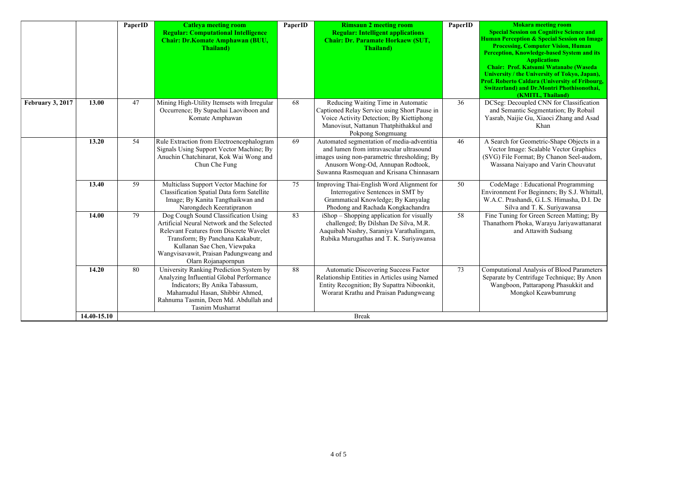|                  |             | PaperID | <b>Catleya meeting room</b><br><b>Regular: Computational Intelligence</b><br><b>Chair: Dr.Komate Amphawan (BUU,</b><br><b>Thailand</b> )                                                                                                                                 | PaperID | <b>Rimsaun 2 meeting room</b><br><b>Regular: Intelligent applications</b><br><b>Chair: Dr. Paramate Horkaew (SUT,</b><br><b>Thailand</b> )                                                                             | PaperID | <b>Mokara meeting room</b><br><b>Special Session on Cognitive Science and</b><br><b>Human Perception &amp; Special Session on Image</b><br><b>Processing, Computer Vision, Human</b><br>Perception, Knowledge-based System and its<br><b>Applications</b><br>Chair: Prof. Katsumi Watanabe (Waseda<br>University / the University of Tokyo, Japan),<br><b>Prof. Roberto Caldara (University of Fribourg,</b><br><b>Switzerland) and Dr. Montri Phothisonothai,</b><br>(KMITL, Thailand) |
|------------------|-------------|---------|--------------------------------------------------------------------------------------------------------------------------------------------------------------------------------------------------------------------------------------------------------------------------|---------|------------------------------------------------------------------------------------------------------------------------------------------------------------------------------------------------------------------------|---------|-----------------------------------------------------------------------------------------------------------------------------------------------------------------------------------------------------------------------------------------------------------------------------------------------------------------------------------------------------------------------------------------------------------------------------------------------------------------------------------------|
| February 3, 2017 | 13.00       | 47      | Mining High-Utility Itemsets with Irregular<br>Occurrence; By Supachai Laoviboon and<br>Komate Amphawan                                                                                                                                                                  | 68      | Reducing Waiting Time in Automatic<br>Captioned Relay Service using Short Pause in<br>Voice Activity Detection; By Kiettiphong<br>Manovisut, Nattanun Thatphithakkul and<br>Pokpong Songmuang                          | 36      | DCSeg: Decoupled CNN for Classification<br>and Semantic Segmentation; By Robail<br>Yasrab, Naijie Gu, Xiaoci Zhang and Asad<br>Khan                                                                                                                                                                                                                                                                                                                                                     |
|                  | 13.20       | 54      | Rule Extraction from Electroencephalogram<br>Signals Using Support Vector Machine; By<br>Anuchin Chatchinarat, Kok Wai Wong and<br>Chun Che Fung                                                                                                                         | 69      | Automated segmentation of media-adventitia<br>and lumen from intravascular ultrasound<br>images using non-parametric thresholding; By<br>Anusorn Wong-Od, Annupan Rodtook,<br>Suwanna Rasmequan and Krisana Chinnasarn | 46      | A Search for Geometric-Shape Objects in a<br>Vector Image: Scalable Vector Graphics<br>(SVG) File Format; By Chanon Seel-audom,<br>Wassana Naiyapo and Varin Chouvatut                                                                                                                                                                                                                                                                                                                  |
|                  | 13.40       | 59      | Multiclass Support Vector Machine for<br><b>Classification Spatial Data form Satellite</b><br>Image; By Kanita Tangthaikwan and<br>Narongdech Keeratipranon                                                                                                              | 75      | Improving Thai-English Word Alignment for<br>Interrogative Sentences in SMT by<br>Grammatical Knowledge; By Kanyalag<br>Phodong and Rachada Kongkachandra                                                              | 50      | CodeMage: Educational Programming<br>Environment For Beginners; By S.J. Whittall,<br>W.A.C. Prashandi, G.L.S. Himasha, D.I. De<br>Silva and T. K. Suriyawansa                                                                                                                                                                                                                                                                                                                           |
|                  | 14.00       | 79      | Dog Cough Sound Classification Using<br>Artificial Neural Network and the Selected<br><b>Relevant Features from Discrete Wavelet</b><br>Transform; By Panchana Kakabutr,<br>Kullanan Sae Chen, Viewpaka<br>Wangvisavawit, Praisan Padungweang and<br>Olarn Rojanapornpun | 83      | iShop – Shopping application for visually<br>challenged; By Dilshan De Silva, M.R.<br>Aaquibah Nashry, Saraniya Varathalingam,<br>Rubika Murugathas and T. K. Suriyawansa                                              | 58      | Fine Tuning for Green Screen Matting; By<br>Thanathorn Phoka, Warayu Jariyawattanarat<br>and Attawith Sudsang                                                                                                                                                                                                                                                                                                                                                                           |
|                  | 14.20       | 80      | University Ranking Prediction System by<br>Analyzing Influential Global Performance<br>Indicators; By Anika Tabassum,<br>Mahamudul Hasan, Shibbir Ahmed,<br>Rahnuma Tasmin, Deen Md. Abdullah and<br>Tasnim Musharrat                                                    | 88      | <b>Automatic Discovering Success Factor</b><br>Relationship Entities in Articles using Named<br>Entity Recognition; By Supattra Niboonkit,<br>Worarat Krathu and Praisan Padungweang                                   | 73      | <b>Computational Analysis of Blood Parameters</b><br>Separate by Centrifuge Technique; By Anon<br>Wangboon, Pattarapong Phasukkit and<br>Mongkol Keawbumrung                                                                                                                                                                                                                                                                                                                            |
|                  | 14.40-15.10 |         |                                                                                                                                                                                                                                                                          |         | <b>Break</b>                                                                                                                                                                                                           |         |                                                                                                                                                                                                                                                                                                                                                                                                                                                                                         |